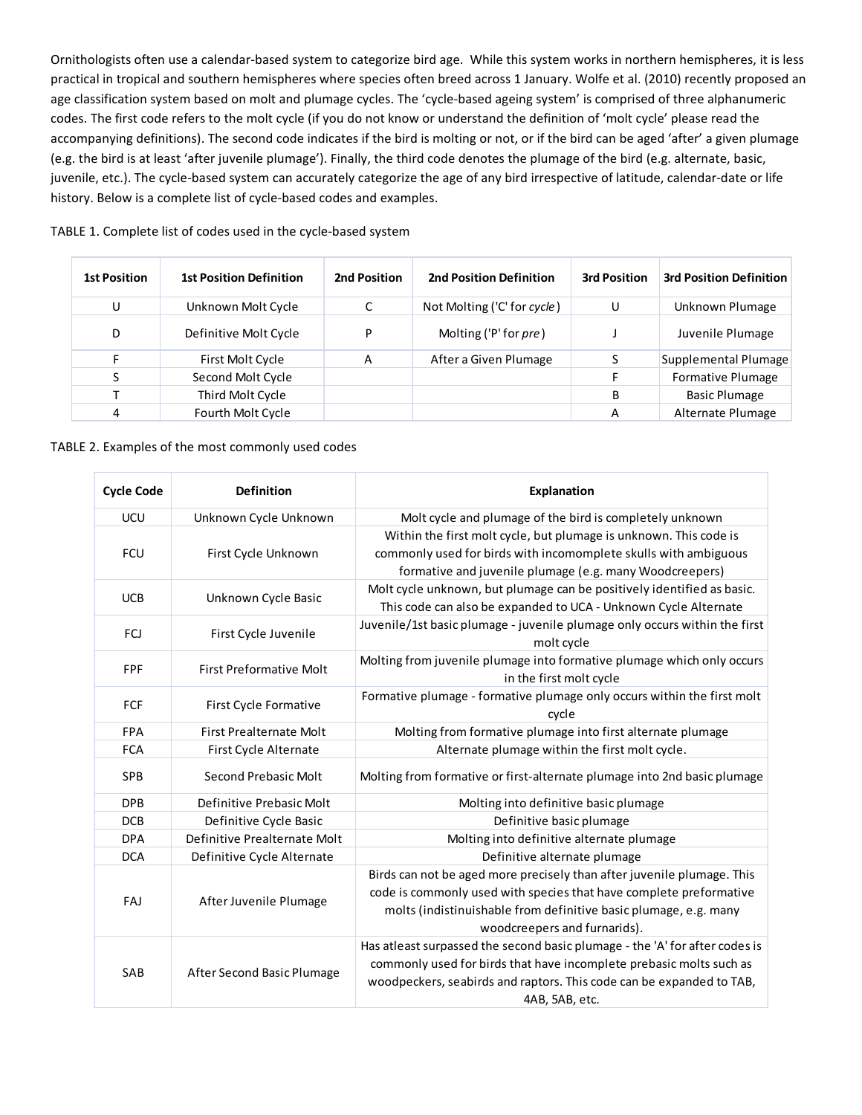Ornithologists often use a calendar-based system to categorize bird age. While this system works in northern hemispheres, it is less practical in tropical and southern hemispheres where species often breed across 1 January. Wolfe et al. (2010) recently proposed an age classification system based on molt and plumage cycles. The 'cycle-based ageing system' is comprised of three alphanumeric codes. The first code refers to the molt cycle (if you do not know or understand the definition of 'molt cycle' please read the accompanying definitions). The second code indicates if the bird is molting or not, or if the bird can be aged 'after' a given plumage (e.g. the bird is at least 'after juvenile plumage'). Finally, the third code denotes the plumage of the bird (e.g. alternate, basic, juvenile, etc.). The cycle-based system can accurately categorize the age of any bird irrespective of latitude, calendar-date or life history. Below is a complete list of cycle-based codes and examples.

## TABLE 1. Complete list of codes used in the cycle-based system

| <b>1st Position</b> | <b>1st Position Definition</b> | 2nd Position | <b>2nd Position Definition</b> | <b>3rd Position</b> | <b>3rd Position Definition</b> |
|---------------------|--------------------------------|--------------|--------------------------------|---------------------|--------------------------------|
| U                   | Unknown Molt Cycle             |              | Not Molting ('C' for cycle)    | U                   | Unknown Plumage                |
| D                   | Definitive Molt Cycle          | D            | Molting ('P' for pre)          |                     | Juvenile Plumage               |
| F.                  | First Molt Cycle               | A            | After a Given Plumage          |                     | Supplemental Plumage           |
|                     | Second Molt Cycle              |              |                                |                     | <b>Formative Plumage</b>       |
|                     | Third Molt Cycle               |              |                                | B                   | <b>Basic Plumage</b>           |
| 4                   | Fourth Molt Cycle              |              |                                | A                   | Alternate Plumage              |

## TABLE 2. Examples of the most commonly used codes

| <b>Cycle Code</b> | <b>Definition</b>              | Explanation                                                                                       |  |
|-------------------|--------------------------------|---------------------------------------------------------------------------------------------------|--|
| <b>UCU</b>        | Unknown Cycle Unknown          | Molt cycle and plumage of the bird is completely unknown                                          |  |
| FCU               | First Cycle Unknown            | Within the first molt cycle, but plumage is unknown. This code is                                 |  |
|                   |                                | commonly used for birds with incomomplete skulls with ambiguous                                   |  |
|                   |                                | formative and juvenile plumage (e.g. many Woodcreepers)                                           |  |
| <b>UCB</b>        | Unknown Cycle Basic            | Molt cycle unknown, but plumage can be positively identified as basic.                            |  |
|                   |                                | This code can also be expanded to UCA - Unknown Cycle Alternate                                   |  |
| FCJ               | First Cycle Juvenile           | Juvenile/1st basic plumage - juvenile plumage only occurs within the first                        |  |
|                   |                                | molt cycle                                                                                        |  |
| FPF               | <b>First Preformative Molt</b> | Molting from juvenile plumage into formative plumage which only occurs<br>in the first molt cycle |  |
| FCF               | First Cycle Formative          | Formative plumage - formative plumage only occurs within the first molt                           |  |
|                   |                                | cycle                                                                                             |  |
| <b>FPA</b>        | First Prealternate Molt        | Molting from formative plumage into first alternate plumage                                       |  |
| <b>FCA</b>        | First Cycle Alternate          | Alternate plumage within the first molt cycle.                                                    |  |
| <b>SPB</b>        | Second Prebasic Molt           | Molting from formative or first-alternate plumage into 2nd basic plumage                          |  |
| <b>DPB</b>        | Definitive Prebasic Molt       | Molting into definitive basic plumage                                                             |  |
| <b>DCB</b>        | Definitive Cycle Basic         | Definitive basic plumage                                                                          |  |
| <b>DPA</b>        | Definitive Prealternate Molt   | Molting into definitive alternate plumage                                                         |  |
| <b>DCA</b>        | Definitive Cycle Alternate     | Definitive alternate plumage                                                                      |  |
| FAJ               | After Juvenile Plumage         | Birds can not be aged more precisely than after juvenile plumage. This                            |  |
|                   |                                | code is commonly used with species that have complete preformative                                |  |
|                   |                                | molts (indistinuishable from definitive basic plumage, e.g. many                                  |  |
|                   |                                | woodcreepers and furnarids).                                                                      |  |
| SAB               | After Second Basic Plumage     | Has atleast surpassed the second basic plumage - the 'A' for after codes is                       |  |
|                   |                                | commonly used for birds that have incomplete prebasic molts such as                               |  |
|                   |                                | woodpeckers, seabirds and raptors. This code can be expanded to TAB,                              |  |
|                   |                                | 4AB, 5AB, etc.                                                                                    |  |